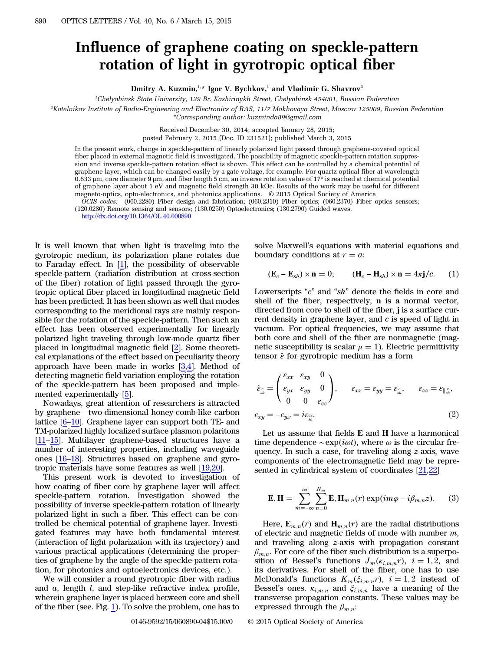## Influence of graphene coating on speckle-pattern rotation of light in gyrotropic optical fiber

Dmitry A. Kuzmin,<sup>1,\*</sup> Igor V. Bychkov,<sup>1</sup> and Vladimir G. Shavrov<sup>2</sup>

1 Chelyabinsk State University, 129 Br. Kashirinykh Street, Chelyabinsk 454001, Russian Federation

2 Kotelnikov Institute of Radio-Engineering and Electronics of RAS, 11/7 Mokhovaya Street, Moscow 125009, Russian Federation \*Corresponding author: kuzminda89@gmail.com

Received December 30, 2014; accepted January 28, 2015;

posted February 2, 2015 (Doc. ID 231521); published March 3, 2015

In the present work, change in speckle-pattern of linearly polarized light passed through graphene-covered optical fiber placed in external magnetic field is investigated. The possibility of magnetic speckle-pattern rotation suppression and inverse speckle-pattern rotation effect is shown. This effect can be controlled by a chemical potential of graphene layer, which can be changed easily by a gate voltage, for example. For quartz optical fiber at wavelength 0.633 μm, core diameter 9 μm, and fiber length 5 cm, an inverse rotation value of 17° is reached at chemical potential of graphene layer about 1 eV and magnetic field strength 30 kOe. Results of the work may be useful for different magneto-optics, opto-electronics, and photonics applications. © 2015 Optical Society of America

OCIS codes: (060.2280) Fiber design and fabrication; (060.2310) Fiber optics; (060.2370) Fiber optics sensors; (120.0280) Remote sensing and sensors; (130.0250) Optoelectronics; (130.2790) Guided waves.

<http://dx.doi.org/10.1364/OL.40.000890>

It is well known that when light is traveling into the gyrotropic medium, its polarization plane rotates due to Faraday effect. In  $[1]$  $[1]$ , the possibility of observable speckle-pattern (radiation distribution at cross-section of the fiber) rotation of light passed through the gyrotropic optical fiber placed in longitudinal magnetic field has been predicted. It has been shown as well that modes corresponding to the meridional rays are mainly responsible for the rotation of the speckle-pattern. Then such an effect has been observed experimentally for linearly polarized light traveling through low-mode quartz fiber placed in longitudinal magnetic field [[2\]](#page-3-1). Some theoretical explanations of the effect based on peculiarity theory approach have been made in works  $[3,4]$  $[3,4]$  $[3,4]$  $[3,4]$ . Method of detecting magnetic field variation employing the rotation of the speckle-pattern has been proposed and implemented experimentally [[5\]](#page-3-4).

Nowadays, great attention of researchers is attracted by graphene—two-dimensional honey-comb-like carbon lattice [\[6](#page-3-5)–[10](#page-3-6)]. Graphene layer can support both TE- and TM-polarized highly localized surface plasmon polaritons [\[11](#page-3-7)–[15](#page-3-8)]. Multilayer graphene-based structures have a number of interesting properties, including waveguide ones [\[16](#page-3-9)–[18](#page-3-10)]. Structures based on graphene and gyrotropic materials have some features as well [\[19](#page-3-11),[20\]](#page-3-12).

This present work is devoted to investigation of how coating of fiber core by graphene layer will affect speckle-pattern rotation. Investigation showed the possibility of inverse speckle-pattern rotation of linearly polarized light in such a fiber. This effect can be controlled be chemical potential of graphene layer. Investigated features may have both fundamental interest (interaction of light polarization with its trajectory) and various practical applications (determining the properties of graphene by the angle of the speckle-pattern rotation, for photonics and optoelectronics devices, etc.).

We will consider a round gyrotropic fiber with radius and  $a$ , length  $l$ , and step-like refractive index profile, wherein graphene layer is placed between core and shell of the fiber (see. Fig. [1\)](#page-1-0). To solve the problem, one has to

<span id="page-0-0"></span>

<span id="page-0-2"></span>solve Maxwell's equations with material equations and<br>boundary conditions at  $r = a$ :<br> $(\mathbf{E}_c - \mathbf{E}_{sh}) \times \mathbf{n} = 0$ ;  $(\mathbf{H}_c - \mathbf{H}_{sh}) \times \mathbf{n} = 4\pi \mathbf{j}/c$ . (1) boundary conditions at  $r = a$ :

$$
(\mathbf{E}_c - \mathbf{E}_{sh}) \times \mathbf{n} = 0; \qquad (\mathbf{H}_c - \mathbf{H}_{sh}) \times \mathbf{n} = 4\pi \mathbf{j}/c. \qquad (1)
$$

Lowerscripts "c" and "sh" denote the fields in core and shell of the fiber, respectively, n is a normal vector, directed from core to shell of the fiber, *j* is a surface current density in graphene layer, and  $c$  is speed of light in vacuum. For optical frequencies, we may assume that both core and shell of the fiber are nonmagnetic (magnetic susceptibility is scalar  $\mu = 1$ ). Electric permittivity tensor  $\hat{\varepsilon}$  for gyrotropic medium has a form

$$
\hat{\varepsilon}_{\substack{\varepsilon \\ sh}} = \begin{pmatrix} \varepsilon_{xx} & \varepsilon_{xy} & 0 \\ \varepsilon_{yx} & \varepsilon_{yy} & 0 \\ 0 & 0 & \varepsilon_{zz} \end{pmatrix}, \qquad \varepsilon_{xx} = \varepsilon_{yy} = \varepsilon_{\substack{\varepsilon \\ sh}} , \qquad \varepsilon_{zz} = \varepsilon_{\parallel_{sh}^c} ,
$$
\n
$$
\varepsilon_{xy} = -\varepsilon_{yx} = i\varepsilon_{\substack{\varepsilon \\ sh}} . \tag{2}
$$

Let us assume that fields E and H have a harmonical time dependence  $\sim \exp(i\omega t)$ , where  $\omega$  is the circular frequency. In such a case, for traveling along z-axis, wave components of the electromagnetic field may be repre-

<span id="page-0-1"></span>sented in cylindrical system of coordinates 
$$
[21,22]
$$
\n
$$
\mathbf{E}, \mathbf{H} = \sum_{m=-\infty}^{\infty} \sum_{n=0}^{N_m} \mathbf{E}, \mathbf{H}_{m,n}(r) \exp(im\varphi - i\beta_{m,n}z). \tag{3}
$$

Here,  $\mathbf{E}_{m,n}(r)$  and  $\mathbf{H}_{m,n}(r)$  are the radial distributions of electric and magnetic fields of mode with number  $m$ , and traveling along z-axis with propagation constant  $\beta_{m,n}$ . For core of the fiber such distribution is a superposition of Bessel's functions  $J_m(\kappa_{i,m,n}r)$ ,  $i = 1, 2$ , and its derivatives. For shell of the fiber, one has to use McDonald's functions  $K_m(\xi_{i,m,n}r)$ ,  $i = 1,2$  instead of Bessel's ones.  $\kappa_{i,m,n}$  and  $\xi_{i,m,n}$  have a meaning of the transverse propagation constants. These values may be expressed through the  $\beta_{m,n}$ :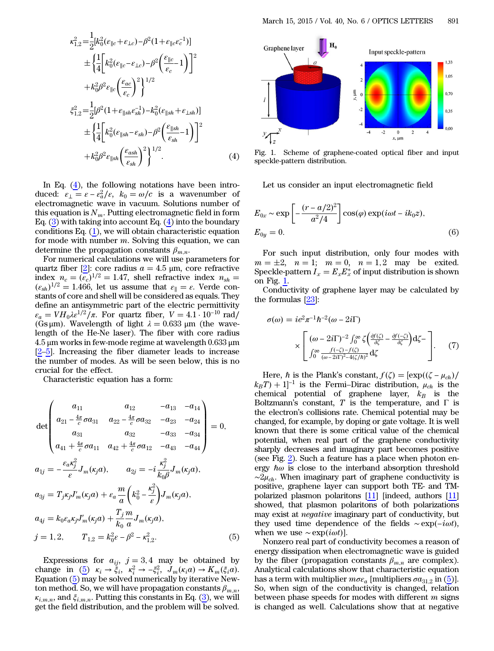$$
\kappa_{1,2}^{2} = \frac{1}{2} [k_{0}^{2} (\epsilon_{\parallel c} + \epsilon_{\perp c}) - \beta^{2} (1 + \epsilon_{\parallel c} \epsilon_{c}^{-1})]
$$
  
\n
$$
\pm \left\{ \frac{1}{4} \left[ k_{0}^{2} (\epsilon_{\parallel c} - \epsilon_{\perp c}) - \beta^{2} \left( \frac{\epsilon_{\parallel c}}{\epsilon_{c}} - 1 \right) \right]^{2}
$$
  
\n
$$
+ k_{0}^{2} \beta^{2} \epsilon_{\parallel c} \left( \frac{\epsilon_{ac}}{\epsilon_{c}} \right)^{2} \right\}^{1/2}
$$
  
\n
$$
\xi_{1,2}^{2} = \frac{1}{2} [\beta^{2} (1 + \epsilon_{\parallel sh} \epsilon_{sh}^{-1}) - k_{0}^{2} (\epsilon_{\parallel sh} + \epsilon_{\perp sh})]
$$
  
\n
$$
\pm \left\{ \frac{1}{4} \left[ k_{0}^{2} (\epsilon_{\parallel sh} - \epsilon_{sh}) - \beta^{2} \left( \frac{\epsilon_{\parallel sh}}{\epsilon_{sh}} - 1 \right) \right]^{2}
$$
  
\n
$$
+ k_{0}^{2} \beta^{2} \epsilon_{\parallel sh} \left( \frac{\epsilon_{ash}}{\epsilon_{sh}} \right)^{2} \right\}^{1/2}.
$$
 (4)

In Eq.  $(4)$  $(4)$ , the following notations have been intro-In Eq. (4), the following notations have been introduced:  $\varepsilon_{\perp} = \varepsilon - \varepsilon_{a}^{2}/\varepsilon$ ,  $k_{0} = \omega/c$  is a wavenumber of electromagnetic wave in vacuum. Solutions number of this equation is  $N_m$ . Putting electromagnetic field in form Eq. [\(3](#page-0-1)) with taking into account Eq. [\(4](#page-0-0)) into the boundary conditions Eq.  $(1)$  $(1)$ , we will obtain characteristic equation for mode with number m. Solving this equation, we can determine the propagation constants  $\beta_{m,n}$ .

For numerical calculations we will use parameters for quartz fiber [[2\]](#page-3-1): core radius  $a = 4.5 \mu m$ , core refractive index  $n_c = (\epsilon_c)^{1/2} = 1.47$ , shell refractive index  $n_{sh} =$  $(\varepsilon_{sh})^{1/2} = 1.466$ , let us assume that  $\varepsilon_{\parallel} = \varepsilon$ . Verde constants of core and shell will be considered as equals. They define an antisymmetric part of the electric permittivity  $\varepsilon_a = V H_0 \lambda \varepsilon^{1/2}/\pi$ . For quartz fiber,  $V = 4.1 \cdot 10^{-10}$  rad/ (Gs  $\mu$ m). Wavelength of light  $\lambda = 0.633 \mu$ m (the wavelength of the He-Ne laser). The fiber with core radius  $4.5 \,\mu$ m works in few-mode regime at wavelength 0.633  $\mu$ m [\[2](#page-3-1)–[5](#page-3-4)]. Increasing the fiber diameter leads to increase the number of modes. As will be seen below, this is no crucial for the effect.

<span id="page-1-1"></span>Characteristic equation has a form:

\n
$$
\det \begin{pmatrix}\n a_{11} & a_{12} & -a_{13} & -a_{14} \\
 a_{21} - \frac{4\pi}{c} \sigma a_{31} & a_{22} - \frac{4\pi}{c} \sigma a_{32} & -a_{23} & -a_{24} \\
 a_{31} & a_{32} & -a_{33} & -a_{34} \\
 a_{41} + \frac{4\pi}{c} \sigma a_{11} & a_{42} + \frac{4\pi}{c} \sigma a_{12} & -a_{43} & -a_{44}\n\end{pmatrix} = 0,
$$
\n
$$
a_{1j} = -\frac{\varepsilon_a \kappa_j^2}{\varepsilon} J_m(\kappa_j a), \qquad a_{2j} = -i \frac{\kappa_j^2}{k_0 \beta} J_m(\kappa_j a),
$$
\n
$$
a_{3j} = T_j \kappa_j J'_m(\kappa_j a) + \varepsilon_a \frac{m}{a} \left(k_0^2 - \frac{\kappa_j^2}{\varepsilon}\right) J_m(\kappa_j a),
$$
\n
$$
a_{4j} = k_0 \varepsilon_a \kappa_j J'_m(\kappa_j a) + \frac{T_j}{k_0} \frac{m}{a} J_m(\kappa_j a),
$$
\n
$$
j = 1, 2, \qquad T_{1,2} = k_0^2 \varepsilon - \beta^2 - \kappa_{1,2}^2. \tag{5}
$$

Expressions for  $a_{ij}$ ,  $j = 3, 4$  may be obtained by  $j = 1, 2,$   $T_{1,2} = k_0^2 \epsilon - \beta^2 - \kappa_{1,2}^2.$  [\(5](#page-1-1))<br>Expressions for  $a_{ij}$ ,  $j = 3, 4$  may be obtained by<br>change in (5)  $\kappa_i \rightarrow \xi_i$ ,  $\kappa_i^2 \rightarrow -\xi_i^2$ ,  $J_m(\kappa_i a) \rightarrow K_m(\xi_i a)$ . Equation [\(5](#page-1-1)) may be solved numerically by iterative Newton method. So, we will have propagation constants  $\beta_{m,n}$ ,  $\kappa_{i,m,n}$ , and  $\xi_{i,m,n}$ . Putting this constants in Eq. ([3\)](#page-0-1), we will get the field distribution, and the problem will be solved.

<span id="page-1-0"></span>

Fig. 1. Scheme of graphene-coated optical fiber and input speckle-pattern distribution.

Let us consider an input electromagnetic field  
\n
$$
E_{0x} \sim \exp\left[-\frac{(r-a/2)^2}{a^2/4}\right] \cos(\varphi) \exp(i\omega t - ik_0 z),
$$
\n
$$
E_{0y} = 0.
$$
\n(6)

For such input distribution, only four modes with  $m = \pm 2$ ,  $n = 1$ ;  $m = 0$ ,  $n = 1, 2$  may be exited. Speckle-pattern  $I_x = E_x E_x^*$  of input distribution is shown on Fig. [1](#page-1-0).

Conductivity of graphene layer may be calculated by<br>
e formulas [23]:<br>  $\sigma(\omega) = ie^2\pi^{-1}\hbar^{-2}(\omega - 2i\Gamma)$ the formulas [[23\]](#page-3-15):

$$
\sigma(\omega) = ie^2 \pi^{-1} \hbar^{-2} (\omega - 2i\Gamma)
$$

$$
\times \left[ (\omega - 2i\Gamma)^{-2} \int_0^\infty \zeta \left( \frac{\partial f(\zeta)}{\partial \zeta} - \frac{\partial f(-\zeta)}{\partial \zeta} \right) d\zeta - \right].
$$
 (7)
$$
(7)
$$

Here,  $\hbar$  is the Plank's constant,  $f(\zeta) = [\exp((\zeta - \mu_{ch})]$  $(k_BT) + 1$ <sup>-1</sup> is the Fermi-Dirac distribution,  $\mu_{ch}$  is the chemical potential of graphene layer,  $k_B$  is the Boltzmann's constant, T is the temperature, and  $\Gamma$  is the electron's collisions rate. Chemical potential may be changed, for example, by doping or gate voltage. It is well known that there is some critical value of the chemical potential, when real part of the graphene conductivity sharply decreases and imaginary part becomes positive (see Fig. [2](#page-2-0)). Such a feature has a place when photon energy  $\hbar\omega$  is close to the interband absorption threshold  $\sim 2\mu_{ch}$ . When imaginary part of graphene conductivity is positive, graphene layer can support both TE- and TMpolarized plasmon polaritons  $[11]$  [indeed, authors  $[11]$ ] showed, that plasmon polaritons of both polarizations may exist at *negative* imaginary part of conductivity, but they used time dependence of the fields  $\sim \exp($ showed, that plasmon polaritons of both polarizations may exist at negative imaginary part of conductivity, but when we use  $\sim \exp(i\omega t)$ .

Nonzero real part of conductivity becomes a reason of energy dissipation when electromagnetic wave is guided by the fiber (propagation constants  $\beta_{m,n}$  are complex). Analytical calculations show that characteristic equation has a term with multiplier  $m\sigma\varepsilon_a$  [multipliers  $\sigma a_{31,2}$  in [\(5](#page-1-1))]. So, when sign of the conductivity is changed, relation between phase speeds for modes with different  $m$  signs is changed as well. Calculations show that at negative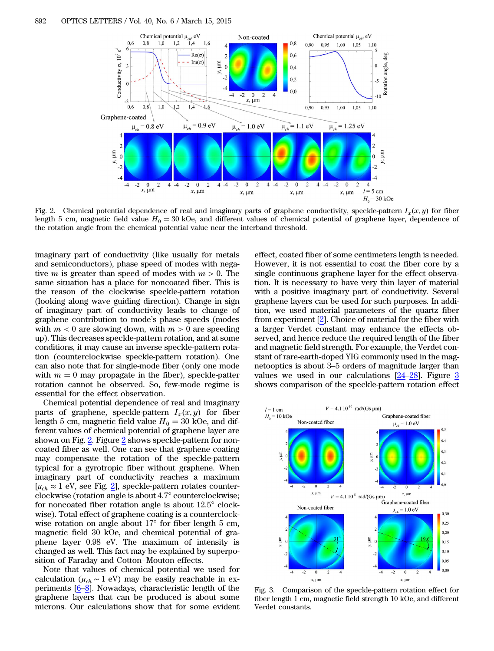<span id="page-2-0"></span>

Fig. 2. Chemical potential dependence of real and imaginary parts of graphene conductivity, speckle-pattern  $I_x(x, y)$  for fiber length 5 cm, magnetic field value  $H_0 = 30$  kOe, and different values of chemical potential of graphene layer, dependence of the rotation angle from the chemical potential value near the interband threshold.

imaginary part of conductivity (like usually for metals and semiconductors), phase speed of modes with negative *m* is greater than speed of modes with  $m > 0$ . The same situation has a place for noncoated fiber. This is the reason of the clockwise speckle-pattern rotation (looking along wave guiding direction). Change in sign of imaginary part of conductivity leads to change of graphene contribution to mode's phase speeds (modes with  $m < 0$  are slowing down, with  $m > 0$  are speeding up). This decreases speckle-pattern rotation, and at some conditions, it may cause an inverse speckle-pattern rotation (counterclockwise speckle-pattern rotation). One can also note that for single-mode fiber (only one mode with  $m = 0$  may propagate in the fiber), speckle-patter rotation cannot be observed. So, few-mode regime is essential for the effect observation.

Chemical potential dependence of real and imaginary parts of graphene, speckle-pattern  $I_x(x, y)$  for fiber length 5 cm, magnetic field value  $H_0 = 30$  kOe, and different values of chemical potential of graphene layer are shown on Fig. [2.](#page-2-0) Figure [2](#page-2-0) shows speckle-pattern for noncoated fiber as well. One can see that graphene coating may compensate the rotation of the speckle-pattern typical for a gyrotropic fiber without graphene. When imaginary part of conductivity reaches a maximum  $[\mu_{ch} \approx 1 \text{ eV}$ , see Fig. [2](#page-2-0)], speckle-pattern rotates counterclockwise (rotation angle is about 4.7° counterclockwise; for noncoated fiber rotation angle is about 12.5° clockwise). Total effect of graphene coating is a counterclockwise rotation on angle about 17° for fiber length 5 cm, magnetic field 30 kOe, and chemical potential of graphene layer 0.98 eV. The maximum of intensity is changed as well. This fact may be explained by superposition of Faraday and Cotton−Mouton effects.

Note that values of chemical potential we used for calculation ( $\mu_{ch} \sim 1$  eV) may be easily reachable in experiments [\[6](#page-3-5)–[8](#page-3-16)]. Nowadays, characteristic length of the graphene layers that can be produced is about some microns. Our calculations show that for some evident

effect, coated fiber of some centimeters length is needed. However, it is not essential to coat the fiber core by a single continuous graphene layer for the effect observation. It is necessary to have very thin layer of material with a positive imaginary part of conductivity. Several graphene layers can be used for such purposes. In addition, we used material parameters of the quartz fiber from experiment [\[2](#page-3-1)]. Choice of material for the fiber with a larger Verdet constant may enhance the effects observed, and hence reduce the required length of the fiber and magnetic field strength. For example, the Verdet constant of rare-earth-doped YIG commonly used in the magnetooptics is about 3–5 orders of magnitude larger than values we used in our calculations [\[24](#page-3-17)–[28\]](#page-3-18). Figure [3](#page-2-1) shows comparison of the speckle-pattern rotation effect

<span id="page-2-1"></span>

Fig. 3. Comparison of the speckle-pattern rotation effect for fiber length 1 cm, magnetic field strength 10 kOe, and different Verdet constants.